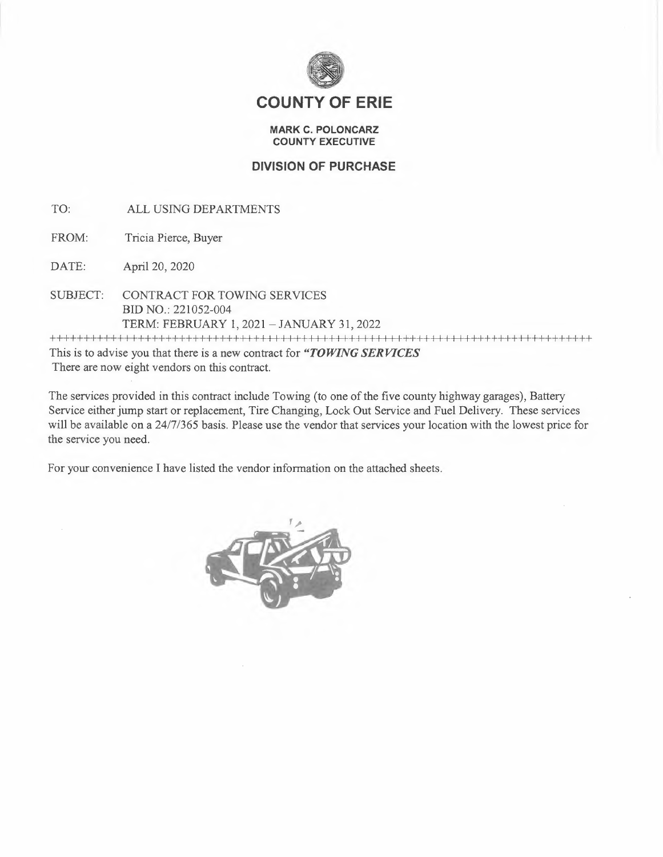

## **COUNTY OF ERIE**

## **MARK C. POLONCARZ COUNTY EXECUTIVE**

## **DIVISION OF PURCHASE**

- TO: ALL USING DEPARTMENTS
- FROM: Tricia Pierce, Buyer
- DATE: April 20, 2020
- SUBJECT: CONTRACT FOR TOWING SERVICES BID NO.: 221052-004 TERM: FEBRUARY 1, 2021 -JANUARY 31, 2022

++++++++++++++++++++++++++++++++++++++++++++++++++++++++++++++++++++++++++++++++ This is to advise you that there is a new contract for *"TOWING SERVICES* 

There are now eight vendors on this contract.

The services provided in this contract include Towing (to one of the five county highway garages), Battery Service either jump start or replacement, Tire Changing, Lock Out Service and Fuel Delivery. These services will be available on a 24/7/365 basis. Please use the vendor that services your location with the lowest price for the service you need.

For your convenience I have listed the vendor information on the attached sheets.

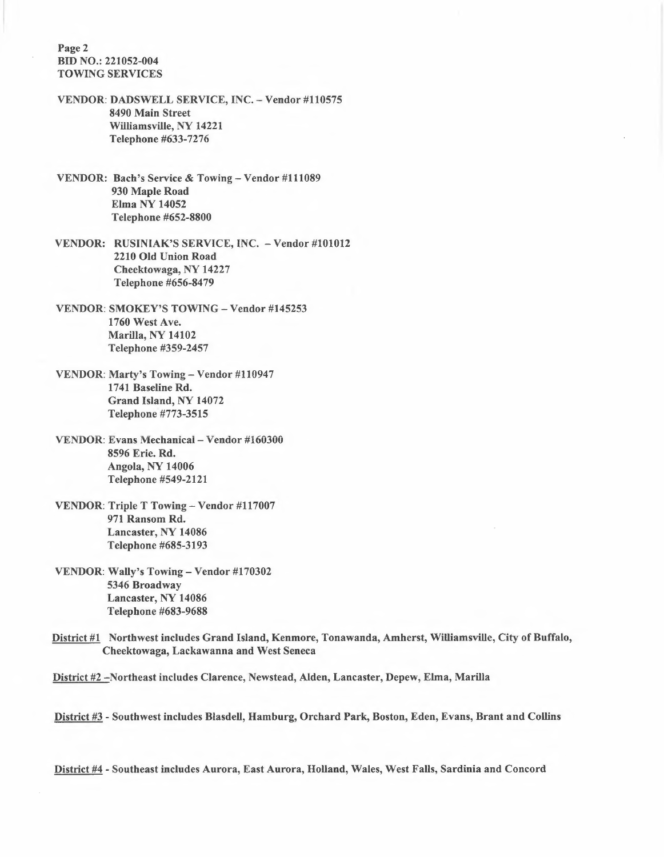Page 2 BID NO.: 221052-004 TOWING SERVICES

- VENDOR: DADSWELL SERVICE, INC. Vendor #110575 8490 Main Street Williamsville, NY 14221 Telephone #633-7276
- VENDOR: Bach's Service & Towing- Vendor #111089 930 Maple Road Elma NY 14052 Telephone #652-8800
- VENDOR: RUSINIAK'S SERVICE, INC. Vendor #101012 2210 Old Union Road Cheektowaga, NY 14227 Telephone #656-8479
- VENDOR: SMOKEY'S TOWING Vendor #145253 1760 West Ave. Marilla, NY 14102 Telephone #359-2457
- VENDOR: Marty's Towing- Vendor #110947 1741 Baseline Rd. Grand Island, NY 14072 Telephone #773-3515
- VENDOR: Evans Mechanicai- Vendor #i6û30û 8596 Erie. Rd. Angola, NY 14006 Telephone #549-2121
- VENDOR: Triple T Towing Vendor #117007 971 Ransom Rd. Lancaster, NY 14086 Telephone #685-3193
- VENDOR: Wally's Towing Vendor #170302 5346 Broadway Lancaster, NY 14086 Telephone #683-9688
- District #1 Northwest includes Grand Island, Kenmore, Tonawanda, Amherst, Williamsville, City of Buffalo, Cheektowaga, Lackawanna and West Seneca
- District #2 -Northeast includes Clarence, Newstead, Alden, Lancaster, Depew, Elma, Marilla

District #3 - Southwest includes Blasdell, Hamburg, Orchard Park, Boston, Eden, Evans, Brant and Collins

District #4 - Southeast includes Aurora, East Aurora, Holland, Wales, West Falls, Sardinia and Concord